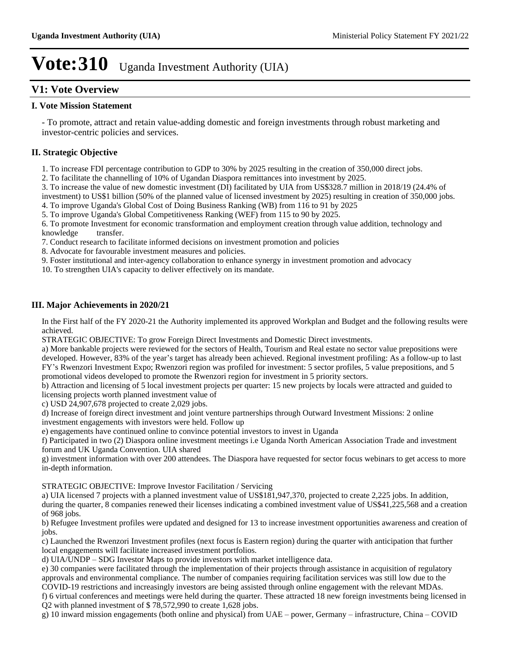## **V1: Vote Overview**

### **I. Vote Mission Statement**

- To promote, attract and retain value-adding domestic and foreign investments through robust marketing and investor-centric policies and services.

## **II. Strategic Objective**

1. To increase FDI percentage contribution to GDP to 30% by 2025 resulting in the creation of 350,000 direct jobs.

2. To facilitate the channelling of 10% of Ugandan Diaspora remittances into investment by 2025.

3. To increase the value of new domestic investment (DI) facilitated by UIA from US\$328.7 million in 2018/19 (24.4% of investment) to US\$1 billion (50% of the planned value of licensed investment by 2025) resulting in creation of 350,000 jobs.

4. To improve Uganda's Global Cost of Doing Business Ranking (WB) from 116 to 91 by 2025

5. To improve Uganda's Global Competitiveness Ranking (WEF) from 115 to 90 by 2025.

6. To promote Investment for economic transformation and employment creation through value addition, technology and knowledge transfer.

7. Conduct research to facilitate informed decisions on investment promotion and policies

8. Advocate for favourable investment measures and policies.

9. Foster institutional and inter-agency collaboration to enhance synergy in investment promotion and advocacy

10. To strengthen UIA's capacity to deliver effectively on its mandate.

## **III. Major Achievements in 2020/21**

In the First half of the FY 2020-21 the Authority implemented its approved Workplan and Budget and the following results were achieved.

STRATEGIC OBJECTIVE: To grow Foreign Direct Investments and Domestic Direct investments.

a) More bankable projects were reviewed for the sectors of Health, Tourism and Real estate no sector value prepositions were developed. However, 83% of the year's target has already been achieved. Regional investment profiling: As a follow-up to last FY's Rwenzori Investment Expo; Rwenzori region was profiled for investment: 5 sector profiles, 5 value prepositions, and 5 promotional videos developed to promote the Rwenzori region for investment in 5 priority sectors.

b) Attraction and licensing of 5 local investment projects per quarter: 15 new projects by locals were attracted and guided to licensing projects worth planned investment value of

c) USD 24,907,678 projected to create 2,029 jobs.

d) Increase of foreign direct investment and joint venture partnerships through Outward Investment Missions: 2 online investment engagements with investors were held. Follow up

e) engagements have continued online to convince potential investors to invest in Uganda

f) Participated in two (2) Diaspora online investment meetings i.e Uganda North American Association Trade and investment forum and UK Uganda Convention. UIA shared

g) investment information with over 200 attendees. The Diaspora have requested for sector focus webinars to get access to more in-depth information.

STRATEGIC OBJECTIVE: Improve Investor Facilitation / Servicing

a) UIA licensed 7 projects with a planned investment value of US\$181,947,370, projected to create 2,225 jobs. In addition, during the quarter, 8 companies renewed their licenses indicating a combined investment value of US\$41,225,568 and a creation of 968 jobs.

b) Refugee Investment profiles were updated and designed for 13 to increase investment opportunities awareness and creation of jobs.

c) Launched the Rwenzori Investment profiles (next focus is Eastern region) during the quarter with anticipation that further local engagements will facilitate increased investment portfolios.

d) UIA/UNDP – SDG Investor Maps to provide investors with market intelligence data.

e) 30 companies were facilitated through the implementation of their projects through assistance in acquisition of regulatory approvals and environmental compliance. The number of companies requiring facilitation services was still low due to the COVID-19 restrictions and increasingly investors are being assisted through online engagement with the relevant MDAs.

f) 6 virtual conferences and meetings were held during the quarter. These attracted 18 new foreign investments being licensed in Q2 with planned investment of \$ 78,572,990 to create 1,628 jobs.

g) 10 inward mission engagements (both online and physical) from  $UAE$  = power, Germany – infrastructure, China – COVID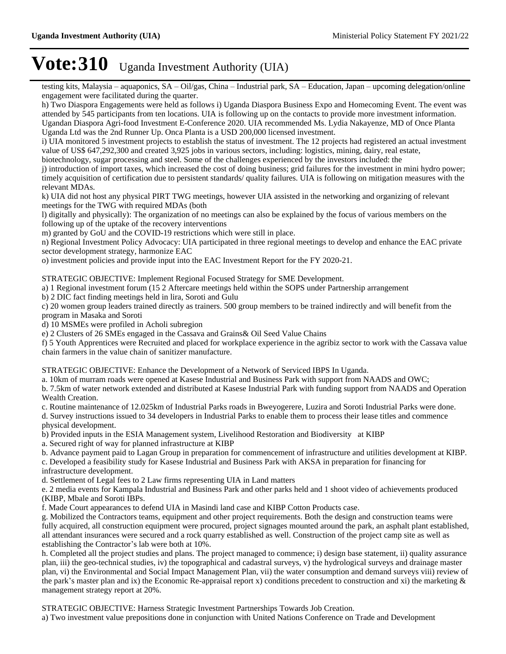testing kits, Malaysia - aquaponics, SA - Oil/gas, China - Industrial park, SA - Education, Japan - upcoming delegation/online engagement were facilitated during the quarter.

h) Two Diaspora Engagements were held as follows i) Uganda Diaspora Business Expo and Homecoming Event. The event was attended by 545 participants from ten locations. UIA is following up on the contacts to provide more investment information. Ugandan Diaspora Agri-food Investment E-Conference 2020. UIA recommended Ms. Lydia Nakayenze, MD of Once Planta Uganda Ltd was the 2nd Runner Up. Onca Planta is a USD 200,000 licensed investment.

i) UIA monitored 5 investment projects to establish the status of investment. The 12 projects had registered an actual investment value of US\$ 647,292,300 and created 3,925 jobs in various sectors, including: logistics, mining, dairy, real estate,

biotechnology, sugar processing and steel. Some of the challenges experienced by the investors included: the

j) introduction of import taxes, which increased the cost of doing business; grid failures for the investment in mini hydro power; timely acquisition of certification due to persistent standards/ quality failures. UIA is following on mitigation measures with the relevant MDAs.

k) UIA did not host any physical PIRT TWG meetings, however UIA assisted in the networking and organizing of relevant meetings for the TWG with required MDAs (both

l) digitally and physically): The organization of no meetings can also be explained by the focus of various members on the following up of the uptake of the recovery interventions

m) granted by GoU and the COVID-19 restrictions which were still in place.

n) Regional Investment Policy Advocacy: UIA participated in three regional meetings to develop and enhance the EAC private sector development strategy, harmonize EAC

o) investment policies and provide input into the EAC Investment Report for the FY 2020-21.

STRATEGIC OBJECTIVE: Implement Regional Focused Strategy for SME Development.

a) 1 Regional investment forum (15 2 Aftercare meetings held within the SOPS under Partnership arrangement

b) 2 DIC fact finding meetings held in lira, Soroti and Gulu

c) 20 women group leaders trained directly as trainers. 500 group members to be trained indirectly and will benefit from the program in Masaka and Soroti

d) 10 MSMEs were profiled in Acholi subregion

e) 2 Clusters of 26 SMEs engaged in the Cassava and Grains& Oil Seed Value Chains

f) 5 Youth Apprentices were Recruited and placed for workplace experience in the agribiz sector to work with the Cassava value chain farmers in the value chain of sanitizer manufacture.

STRATEGIC OBJECTIVE: Enhance the Development of a Network of Serviced IBPS In Uganda.

a. 10km of murram roads were opened at Kasese Industrial and Business Park with support from NAADS and OWC;

b. 7.5km of water network extended and distributed at Kasese Industrial Park with funding support from NAADS and Operation Wealth Creation.

c. Routine maintenance of 12.025km of Industrial Parks roads in Bweyogerere, Luzira and Soroti Industrial Parks were done. d. Survey instructions issued to 34 developers in Industrial Parks to enable them to process their lease titles and commence

physical development.

b) Provided inputs in the ESIA Management system, Livelihood Restoration and Biodiversity at KIBP

a. Secured right of way for planned infrastructure at KIBP

b. Advance payment paid to Lagan Group in preparation for commencement of infrastructure and utilities development at KIBP.

c. Developed a feasibility study for Kasese Industrial and Business Park with AKSA in preparation for financing for infrastructure development.

d. Settlement of Legal fees to 2 Law firms representing UIA in Land matters

e. 2 media events for Kampala Industrial and Business Park and other parks held and 1 shoot video of achievements produced (KIBP, Mbale and Soroti IBPs.

f. Made Court appearances to defend UIA in Masindi land case and KIBP Cotton Products case.

g. Mobilized the Contractors teams, equipment and other project requirements. Both the design and construction teams were fully acquired, all construction equipment were procured, project signages mounted around the park, an asphalt plant established, all attendant insurances were secured and a rock quarry established as well. Construction of the project camp site as well as establishing the Contractor's lab were both at 10%.

h. Completed all the project studies and plans. The project managed to commence; i) design base statement, ii) quality assurance plan, iii) the geo-technical studies, iv) the topographical and cadastral surveys, v) the hydrological surveys and drainage master plan, vi) the Environmental and Social Impact Management Plan, vii) the water consumption and demand surveys viii) review of the park's master plan and ix) the Economic Re-appraisal report x) conditions precedent to construction and xi) the marketing  $\&$ management strategy report at 20%.

STRATEGIC OBJECTIVE: Harness Strategic Investment Partnerships Towards Job Creation.

a) Two investment value prepositions done in conjunction with United Nations Conference on Trade and Development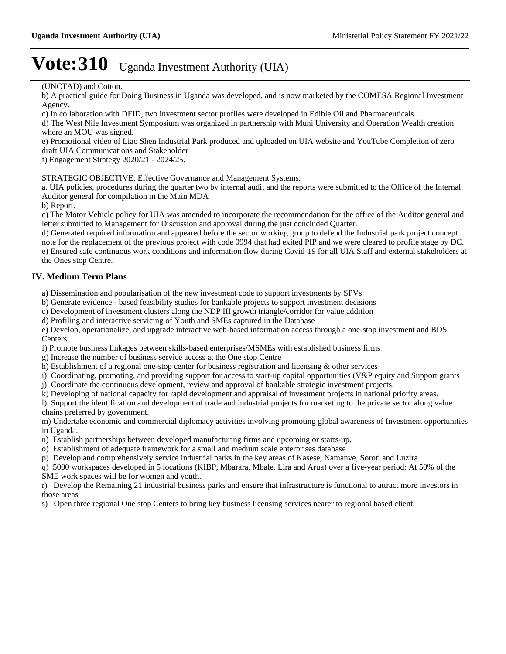(UNCTAD) and Cotton.

b) A practical guide for Doing Business in Uganda was developed, and is now marketed by the COMESA Regional Investment Agency.

c) In collaboration with DFID, two investment sector profiles were developed in Edible Oil and Pharmaceuticals.

d) The West Nile Investment Symposium was organized in partnership with Muni University and Operation Wealth creation where an MOU was signed.

e) Promotional video of Liao Shen Industrial Park produced and uploaded on UIA website and YouTube Completion of zero draft UIA Communications and Stakeholder

f) Engagement Strategy 2020/21 - 2024/25.

STRATEGIC OBJECTIVE: Effective Governance and Management Systems.

a. UIA policies, procedures during the quarter two by internal audit and the reports were submitted to the Office of the Internal Auditor general for compilation in the Main MDA

b) Report.

c) The Motor Vehicle policy for UIA was amended to incorporate the recommendation for the office of the Auditor general and letter submitted to Management for Discussion and approval during the just concluded Quarter.

d) Generated required information and appeared before the sector working group to defend the Industrial park project concept note for the replacement of the previous project with code 0994 that had exited PIP and we were cleared to profile stage by DC.

e) Ensured safe continuous work conditions and information flow during Covid-19 for all UIA Staff and external stakeholders at the Ones stop Centre.

## **IV. Medium Term Plans**

a) Dissemination and popularisation of the new investment code to support investments by SPVs

b) Generate evidence - based feasibility studies for bankable projects to support investment decisions

c) Development of investment clusters along the NDP III growth triangle/corridor for value addition

d) Profiling and interactive servicing of Youth and SMEs captured in the Database

e) Develop, operationalize, and upgrade interactive web-based information access through a one-stop investment and BDS **Centers** 

f) Promote business linkages between skills-based enterprises/MSMEs with established business firms

g) Increase the number of business service access at the One stop Centre

h) Establishment of a regional one-stop center for business registration and licensing & other services

i) Coordinating, promoting, and providing support for access to start-up capital opportunities (V&P equity and Support grants

j) Coordinate the continuous development, review and approval of bankable strategic investment projects.

k) Developing of national capacity for rapid development and appraisal of investment projects in national priority areas.

l) Support the identification and development of trade and industrial projects for marketing to the private sector along value chains preferred by government.

m) Undertake economic and commercial diplomacy activities involving promoting global awareness of Investment opportunities in Uganda.

n) Establish partnerships between developed manufacturing firms and upcoming or starts-up.

o) Establishment of adequate framework for a small and medium scale enterprises database

p) Develop and comprehensively service industrial parks in the key areas of Kasese, Namanve, Soroti and Luzira.

q) 5000 workspaces developed in 5 locations (KIBP, Mbarara, Mbale, Lira and Arua) over a five-year period; At 50% of the SME work spaces will be for women and youth.

r) Develop the Remaining 21 industrial business parks and ensure that infrastructure is functional to attract more investors in those areas

s) Open three regional One stop Centers to bring key business licensing services nearer to regional based client.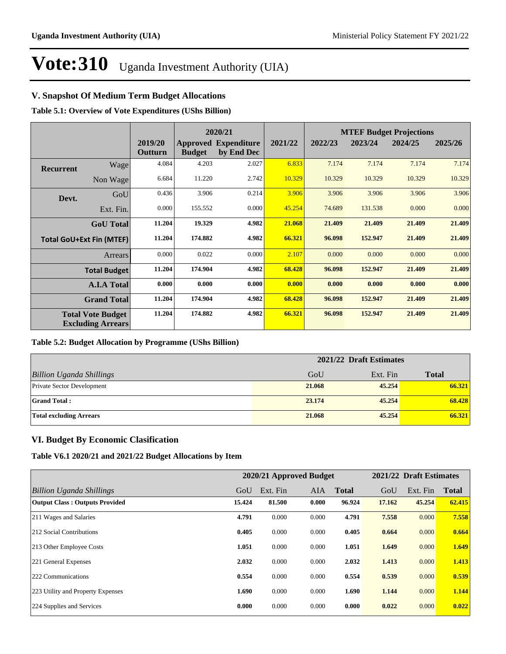## **V. Snapshot Of Medium Term Budget Allocations**

**Table 5.1: Overview of Vote Expenditures (UShs Billion)**

|                  |                                                      |                    |               | 2020/21                                   |         | <b>MTEF Budget Projections</b> |         |         |         |
|------------------|------------------------------------------------------|--------------------|---------------|-------------------------------------------|---------|--------------------------------|---------|---------|---------|
|                  |                                                      | 2019/20<br>Outturn | <b>Budget</b> | <b>Approved Expenditure</b><br>by End Dec | 2021/22 | 2022/23                        | 2023/24 | 2024/25 | 2025/26 |
| <b>Recurrent</b> | Wage                                                 | 4.084              | 4.203         | 2.027                                     | 6.833   | 7.174                          | 7.174   | 7.174   | 7.174   |
|                  | Non Wage                                             | 6.684              | 11.220        | 2.742                                     | 10.329  | 10.329                         | 10.329  | 10.329  | 10.329  |
| Devt.            | GoU                                                  | 0.436              | 3.906         | 0.214                                     | 3.906   | 3.906                          | 3.906   | 3.906   | 3.906   |
|                  | Ext. Fin.                                            | 0.000              | 155.552       | 0.000                                     | 45.254  | 74.689                         | 131.538 | 0.000   | 0.000   |
|                  | <b>GoU</b> Total                                     | 11.204             | 19.329        | 4.982                                     | 21.068  | 21.409                         | 21.409  | 21.409  | 21.409  |
|                  | <b>Total GoU+Ext Fin (MTEF)</b>                      | 11.204             | 174.882       | 4.982                                     | 66.321  | 96.098                         | 152.947 | 21.409  | 21.409  |
|                  | Arrears                                              | 0.000              | 0.022         | 0.000                                     | 2.107   | 0.000                          | 0.000   | 0.000   | 0.000   |
|                  | <b>Total Budget</b>                                  | 11.204             | 174.904       | 4.982                                     | 68.428  | 96.098                         | 152.947 | 21.409  | 21.409  |
|                  | <b>A.I.A Total</b>                                   | 0.000              | 0.000         | 0.000                                     | 0.000   | 0.000                          | 0.000   | 0.000   | 0.000   |
|                  | <b>Grand Total</b>                                   | 11.204             | 174.904       | 4.982                                     | 68.428  | 96.098                         | 152.947 | 21.409  | 21.409  |
|                  | <b>Total Vote Budget</b><br><b>Excluding Arrears</b> | 11.204             | 174.882       | 4.982                                     | 66.321  | 96.098                         | 152.947 | 21.409  | 21.409  |

### **Table 5.2: Budget Allocation by Programme (UShs Billion)**

|                                   | 2021/22 Draft Estimates |          |              |  |  |
|-----------------------------------|-------------------------|----------|--------------|--|--|
| <b>Billion Uganda Shillings</b>   | GoU                     | Ext. Fin | <b>Total</b> |  |  |
| <b>Private Sector Development</b> | 21.068                  | 45,254   | 66.321       |  |  |
| <b>Grand Total:</b>               | 23,174                  | 45,254   | 68.428       |  |  |
| <b>Total excluding Arrears</b>    | 21.068                  | 45,254   | 66.321       |  |  |

### **VI. Budget By Economic Clasification**

**Table V6.1 2020/21 and 2021/22 Budget Allocations by Item**

|                                       | 2020/21 Approved Budget |          |            |              | 2021/22 Draft Estimates |          |              |
|---------------------------------------|-------------------------|----------|------------|--------------|-------------------------|----------|--------------|
| Billion Uganda Shillings              | GoU                     | Ext. Fin | <b>AIA</b> | <b>Total</b> | GoU                     | Ext. Fin | <b>Total</b> |
| <b>Output Class: Outputs Provided</b> | 15.424                  | 81.500   | 0.000      | 96.924       | 17.162                  | 45.254   | 62.415       |
| 211 Wages and Salaries                | 4.791                   | 0.000    | 0.000      | 4.791        | 7.558                   | 0.000    | 7.558        |
| 212 Social Contributions              | 0.405                   | 0.000    | 0.000      | 0.405        | 0.664                   | 0.000    | 0.664        |
| 213 Other Employee Costs              | 1.051                   | 0.000    | 0.000      | 1.051        | 1.649                   | 0.000    | 1.649        |
| 221 General Expenses                  | 2.032                   | 0.000    | 0.000      | 2.032        | 1.413                   | 0.000    | 1.413        |
| 222 Communications                    | 0.554                   | 0.000    | 0.000      | 0.554        | 0.539                   | 0.000    | 0.539        |
| 223 Utility and Property Expenses     | 1.690                   | 0.000    | 0.000      | 1.690        | 1.144                   | 0.000    | 1.144        |
| 224 Supplies and Services             | 0.000                   | 0.000    | 0.000      | 0.000        | 0.022                   | 0.000    | 0.022        |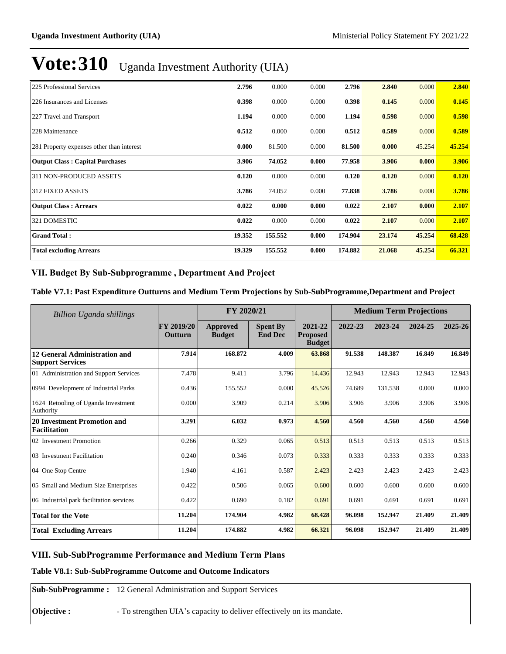| 225 Professional Services                 | 2.796  | 0.000   | 0.000 | 2.796   | 2.840  | 0.000  | 2.840  |
|-------------------------------------------|--------|---------|-------|---------|--------|--------|--------|
| 226 Insurances and Licenses               | 0.398  | 0.000   | 0.000 | 0.398   | 0.145  | 0.000  | 0.145  |
| 227 Travel and Transport                  | 1.194  | 0.000   | 0.000 | 1.194   | 0.598  | 0.000  | 0.598  |
| 228 Maintenance                           | 0.512  | 0.000   | 0.000 | 0.512   | 0.589  | 0.000  | 0.589  |
| 281 Property expenses other than interest | 0.000  | 81.500  | 0.000 | 81.500  | 0.000  | 45.254 | 45.254 |
| <b>Output Class: Capital Purchases</b>    | 3.906  | 74.052  | 0.000 | 77.958  | 3.906  | 0.000  | 3.906  |
| 311 NON-PRODUCED ASSETS                   | 0.120  | 0.000   | 0.000 | 0.120   | 0.120  | 0.000  | 0.120  |
| <b>312 FIXED ASSETS</b>                   | 3.786  | 74.052  | 0.000 | 77.838  | 3.786  | 0.000  | 3.786  |
| <b>Output Class: Arrears</b>              | 0.022  | 0.000   | 0.000 | 0.022   | 2.107  | 0.000  | 2.107  |
| 321 DOMESTIC                              | 0.022  | 0.000   | 0.000 | 0.022   | 2.107  | 0.000  | 2.107  |
| <b>Grand Total:</b>                       | 19.352 | 155.552 | 0.000 | 174.904 | 23.174 | 45.254 | 68.428 |
| <b>Total excluding Arrears</b>            | 19.329 | 155.552 | 0.000 | 174.882 | 21.068 | 45.254 | 66.321 |

## VII. Budget By Sub-Subprogramme, Department And Project

### **Table V7.1: Past Expenditure Outturns and Medium Term Projections by Sub-SubProgramme,Department and Project**

| Billion Uganda shillings                                 |                                     | FY 2020/21                       |                                   | <b>Medium Term Projections</b>              |         |         |         |         |
|----------------------------------------------------------|-------------------------------------|----------------------------------|-----------------------------------|---------------------------------------------|---------|---------|---------|---------|
|                                                          | <b>FY 2019/20</b><br><b>Outturn</b> | <b>Approved</b><br><b>Budget</b> | <b>Spent By</b><br><b>End Dec</b> | 2021-22<br><b>Proposed</b><br><b>Budget</b> | 2022-23 | 2023-24 | 2024-25 | 2025-26 |
| 12 General Administration and<br><b>Support Services</b> | 7.914                               | 168.872                          | 4.009                             | 63.868                                      | 91.538  | 148.387 | 16.849  | 16.849  |
| 01 Administration and Support Services                   | 7.478                               | 9.411                            | 3.796                             | 14.436                                      | 12.943  | 12.943  | 12.943  | 12.943  |
| 0994 Development of Industrial Parks                     | 0.436                               | 155.552                          | 0.000                             | 45.526                                      | 74.689  | 131.538 | 0.000   | 0.000   |
| 1624 Retooling of Uganda Investment<br>Authority         | 0.000                               | 3.909                            | 0.214                             | 3.906                                       | 3.906   | 3.906   | 3.906   | 3.906   |
| 20 Investment Promotion and<br>Facilitation              | 3.291                               | 6.032                            | 0.973                             | 4.560                                       | 4.560   | 4.560   | 4.560   | 4.560   |
| 02 Investment Promotion                                  | 0.266                               | 0.329                            | 0.065                             | 0.513                                       | 0.513   | 0.513   | 0.513   | 0.513   |
| 03 Investment Facilitation                               | 0.240                               | 0.346                            | 0.073                             | 0.333                                       | 0.333   | 0.333   | 0.333   | 0.333   |
| 04 One Stop Centre                                       | 1.940                               | 4.161                            | 0.587                             | 2.423                                       | 2.423   | 2.423   | 2.423   | 2.423   |
| 05 Small and Medium Size Enterprises                     | 0.422                               | 0.506                            | 0.065                             | 0.600                                       | 0.600   | 0.600   | 0.600   | 0.600   |
| 06 Industrial park facilitation services                 | 0.422                               | 0.690                            | 0.182                             | 0.691                                       | 0.691   | 0.691   | 0.691   | 0.691   |
| <b>Total for the Vote</b>                                | 11.204                              | 174.904                          | 4.982                             | 68.428                                      | 96.098  | 152.947 | 21.409  | 21.409  |
| <b>Total Excluding Arrears</b>                           | 11.204                              | 174.882                          | 4.982                             | 66.321                                      | 96.098  | 152.947 | 21.409  | 21.409  |

### **VIII. Sub-SubProgramme Performance and Medium Term Plans**

### **Table V8.1: Sub-SubProgramme Outcome and Outcome Indicators**

**Sub-SubProgramme :** 12 General Administration and Support Services

**Objective :** - To strengthen UIA's capacity to deliver effectively on its mandate.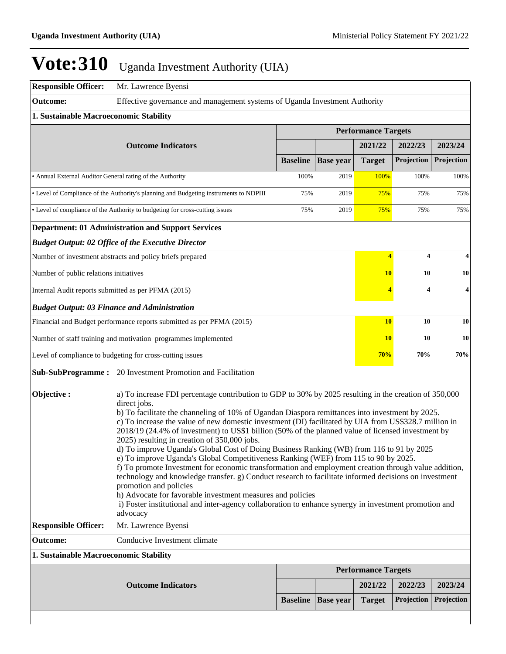| <b>Responsible Officer:</b>                                                                                                                                                                                                                                                                                                                                                                                                                                                                                                                                                                                                                                                                                                                                                                                                                                                                                                                                                                                                                                                                                | Mr. Lawrence Byensi                                                                   |                 |                  |                            |            |                    |  |  |  |
|------------------------------------------------------------------------------------------------------------------------------------------------------------------------------------------------------------------------------------------------------------------------------------------------------------------------------------------------------------------------------------------------------------------------------------------------------------------------------------------------------------------------------------------------------------------------------------------------------------------------------------------------------------------------------------------------------------------------------------------------------------------------------------------------------------------------------------------------------------------------------------------------------------------------------------------------------------------------------------------------------------------------------------------------------------------------------------------------------------|---------------------------------------------------------------------------------------|-----------------|------------------|----------------------------|------------|--------------------|--|--|--|
| <b>Outcome:</b>                                                                                                                                                                                                                                                                                                                                                                                                                                                                                                                                                                                                                                                                                                                                                                                                                                                                                                                                                                                                                                                                                            | Effective governance and management systems of Uganda Investment Authority            |                 |                  |                            |            |                    |  |  |  |
| 1. Sustainable Macroeconomic Stability                                                                                                                                                                                                                                                                                                                                                                                                                                                                                                                                                                                                                                                                                                                                                                                                                                                                                                                                                                                                                                                                     |                                                                                       |                 |                  |                            |            |                    |  |  |  |
|                                                                                                                                                                                                                                                                                                                                                                                                                                                                                                                                                                                                                                                                                                                                                                                                                                                                                                                                                                                                                                                                                                            |                                                                                       |                 |                  |                            |            |                    |  |  |  |
|                                                                                                                                                                                                                                                                                                                                                                                                                                                                                                                                                                                                                                                                                                                                                                                                                                                                                                                                                                                                                                                                                                            | <b>Outcome Indicators</b>                                                             |                 |                  | 2021/22                    | 2022/23    | 2023/24            |  |  |  |
|                                                                                                                                                                                                                                                                                                                                                                                                                                                                                                                                                                                                                                                                                                                                                                                                                                                                                                                                                                                                                                                                                                            |                                                                                       | <b>Baseline</b> | <b>Base year</b> | <b>Target</b>              | Projection | Projection         |  |  |  |
| • Annual External Auditor General rating of the Authority                                                                                                                                                                                                                                                                                                                                                                                                                                                                                                                                                                                                                                                                                                                                                                                                                                                                                                                                                                                                                                                  |                                                                                       | 100%            | 2019             | 100%                       | 100%       | 100%               |  |  |  |
|                                                                                                                                                                                                                                                                                                                                                                                                                                                                                                                                                                                                                                                                                                                                                                                                                                                                                                                                                                                                                                                                                                            | • Level of Compliance of the Authority's planning and Budgeting instruments to NDPIII | 75%             | 2019             | 75%                        | 75%        | 75%                |  |  |  |
|                                                                                                                                                                                                                                                                                                                                                                                                                                                                                                                                                                                                                                                                                                                                                                                                                                                                                                                                                                                                                                                                                                            | • Level of compliance of the Authority to budgeting for cross-cutting issues          | 75%             | 2019             | 75%                        | 75%        | 75%                |  |  |  |
|                                                                                                                                                                                                                                                                                                                                                                                                                                                                                                                                                                                                                                                                                                                                                                                                                                                                                                                                                                                                                                                                                                            | <b>Department: 01 Administration and Support Services</b>                             |                 |                  |                            |            |                    |  |  |  |
|                                                                                                                                                                                                                                                                                                                                                                                                                                                                                                                                                                                                                                                                                                                                                                                                                                                                                                                                                                                                                                                                                                            | <b>Budget Output: 02 Office of the Executive Director</b>                             |                 |                  |                            |            |                    |  |  |  |
|                                                                                                                                                                                                                                                                                                                                                                                                                                                                                                                                                                                                                                                                                                                                                                                                                                                                                                                                                                                                                                                                                                            | Number of investment abstracts and policy briefs prepared                             |                 |                  | $\overline{\bf{4}}$        | 4          |                    |  |  |  |
| Number of public relations initiatives                                                                                                                                                                                                                                                                                                                                                                                                                                                                                                                                                                                                                                                                                                                                                                                                                                                                                                                                                                                                                                                                     |                                                                                       |                 |                  | 10                         | 10         | 10                 |  |  |  |
| Internal Audit reports submitted as per PFMA (2015)                                                                                                                                                                                                                                                                                                                                                                                                                                                                                                                                                                                                                                                                                                                                                                                                                                                                                                                                                                                                                                                        |                                                                                       |                 |                  |                            | 4          | $\overline{\bf 4}$ |  |  |  |
|                                                                                                                                                                                                                                                                                                                                                                                                                                                                                                                                                                                                                                                                                                                                                                                                                                                                                                                                                                                                                                                                                                            | <b>Budget Output: 03 Finance and Administration</b>                                   |                 |                  |                            |            |                    |  |  |  |
|                                                                                                                                                                                                                                                                                                                                                                                                                                                                                                                                                                                                                                                                                                                                                                                                                                                                                                                                                                                                                                                                                                            | Financial and Budget performance reports submitted as per PFMA (2015)                 |                 |                  | <b>10</b>                  | 10         | 10                 |  |  |  |
|                                                                                                                                                                                                                                                                                                                                                                                                                                                                                                                                                                                                                                                                                                                                                                                                                                                                                                                                                                                                                                                                                                            | Number of staff training and motivation programmes implemented                        |                 |                  | <b>10</b>                  | 10         | 10                 |  |  |  |
|                                                                                                                                                                                                                                                                                                                                                                                                                                                                                                                                                                                                                                                                                                                                                                                                                                                                                                                                                                                                                                                                                                            | Level of compliance to budgeting for cross-cutting issues                             |                 |                  | 70%                        | 70%        | 70%                |  |  |  |
|                                                                                                                                                                                                                                                                                                                                                                                                                                                                                                                                                                                                                                                                                                                                                                                                                                                                                                                                                                                                                                                                                                            | <b>Sub-SubProgramme:</b> 20 Investment Promotion and Facilitation                     |                 |                  |                            |            |                    |  |  |  |
| Objective:<br>a) To increase FDI percentage contribution to GDP to 30% by 2025 resulting in the creation of 350,000<br>direct jobs.<br>b) To facilitate the channeling of 10% of Ugandan Diaspora remittances into investment by 2025.<br>c) To increase the value of new domestic investment (DI) facilitated by UIA from US\$328.7 million in<br>2018/19 (24.4% of investment) to US\$1 billion (50% of the planned value of licensed investment by<br>2025) resulting in creation of 350,000 jobs.<br>d) To improve Uganda's Global Cost of Doing Business Ranking (WB) from 116 to 91 by 2025<br>e) To improve Uganda's Global Competitiveness Ranking (WEF) from 115 to 90 by 2025.<br>f) To promote Investment for economic transformation and employment creation through value addition,<br>technology and knowledge transfer. g) Conduct research to facilitate informed decisions on investment<br>promotion and policies<br>h) Advocate for favorable investment measures and policies<br>i) Foster institutional and inter-agency collaboration to enhance synergy in investment promotion and |                                                                                       |                 |                  |                            |            |                    |  |  |  |
| <b>Responsible Officer:</b>                                                                                                                                                                                                                                                                                                                                                                                                                                                                                                                                                                                                                                                                                                                                                                                                                                                                                                                                                                                                                                                                                | Mr. Lawrence Byensi                                                                   |                 |                  |                            |            |                    |  |  |  |
| <b>Outcome:</b>                                                                                                                                                                                                                                                                                                                                                                                                                                                                                                                                                                                                                                                                                                                                                                                                                                                                                                                                                                                                                                                                                            | Conducive Investment climate                                                          |                 |                  |                            |            |                    |  |  |  |
| 1. Sustainable Macroeconomic Stability                                                                                                                                                                                                                                                                                                                                                                                                                                                                                                                                                                                                                                                                                                                                                                                                                                                                                                                                                                                                                                                                     |                                                                                       |                 |                  |                            |            |                    |  |  |  |
|                                                                                                                                                                                                                                                                                                                                                                                                                                                                                                                                                                                                                                                                                                                                                                                                                                                                                                                                                                                                                                                                                                            |                                                                                       |                 |                  | <b>Performance Targets</b> |            |                    |  |  |  |
|                                                                                                                                                                                                                                                                                                                                                                                                                                                                                                                                                                                                                                                                                                                                                                                                                                                                                                                                                                                                                                                                                                            | <b>Outcome Indicators</b>                                                             |                 |                  | 2021/22                    | 2022/23    | 2023/24            |  |  |  |
|                                                                                                                                                                                                                                                                                                                                                                                                                                                                                                                                                                                                                                                                                                                                                                                                                                                                                                                                                                                                                                                                                                            |                                                                                       | <b>Baseline</b> | <b>Base year</b> | <b>Target</b>              | Projection | Projection         |  |  |  |
|                                                                                                                                                                                                                                                                                                                                                                                                                                                                                                                                                                                                                                                                                                                                                                                                                                                                                                                                                                                                                                                                                                            |                                                                                       |                 |                  |                            |            |                    |  |  |  |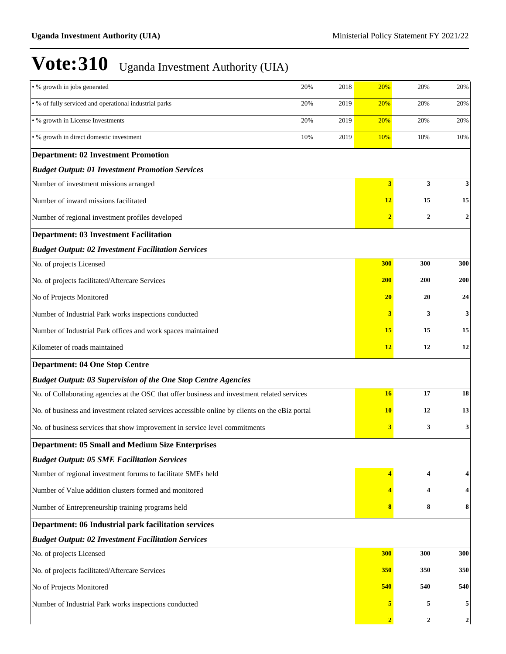| • % growth in jobs generated                                                                    | 20%         | 2018 | 20%            | 20%              | 20%              |  |  |
|-------------------------------------------------------------------------------------------------|-------------|------|----------------|------------------|------------------|--|--|
| • % of fully serviced and operational industrial parks                                          | 20%         | 2019 | 20%            | 20%              | 20%              |  |  |
| • % growth in License Investments                                                               | 2019<br>20% |      |                |                  |                  |  |  |
| • % growth in direct domestic investment                                                        | 10%         | 2019 | 10%            | 10%              | 10%              |  |  |
| <b>Department: 02 Investment Promotion</b>                                                      |             |      |                |                  |                  |  |  |
| <b>Budget Output: 01 Investment Promotion Services</b>                                          |             |      |                |                  |                  |  |  |
| Number of investment missions arranged                                                          |             |      | 3              | 3                | 3                |  |  |
| Number of inward missions facilitated                                                           |             |      | <b>12</b>      | 15               | 15               |  |  |
| Number of regional investment profiles developed                                                |             |      | $\overline{2}$ | $\overline{2}$   | $\boldsymbol{2}$ |  |  |
| <b>Department: 03 Investment Facilitation</b>                                                   |             |      |                |                  |                  |  |  |
| <b>Budget Output: 02 Investment Facilitation Services</b>                                       |             |      |                |                  |                  |  |  |
| No. of projects Licensed                                                                        |             |      | 300            | 300              | 300              |  |  |
| No. of projects facilitated/Aftercare Services                                                  |             |      | <b>200</b>     | <b>200</b>       | 200              |  |  |
| No of Projects Monitored                                                                        |             |      | 20             | 20               | 24               |  |  |
| Number of Industrial Park works inspections conducted                                           |             |      | 3              | 3                | 3                |  |  |
| Number of Industrial Park offices and work spaces maintained                                    |             |      | 15             | 15               | 15               |  |  |
| Kilometer of roads maintained                                                                   |             |      | 12             | 12               | 12               |  |  |
| <b>Department: 04 One Stop Centre</b>                                                           |             |      |                |                  |                  |  |  |
| <b>Budget Output: 03 Supervision of the One Stop Centre Agencies</b>                            |             |      |                |                  |                  |  |  |
| No. of Collaborating agencies at the OSC that offer business and investment related services    |             |      | <b>16</b>      | 17               | 18               |  |  |
| No. of business and investment related services accessible online by clients on the eBiz portal |             |      | <b>10</b>      | 12               | 13               |  |  |
| No. of business services that show improvement in service level commitments                     |             |      | 3              | 3                | 3                |  |  |
| <b>Department: 05 Small and Medium Size Enterprises</b>                                         |             |      |                |                  |                  |  |  |
| <b>Budget Output: 05 SME Facilitation Services</b>                                              |             |      |                |                  |                  |  |  |
| Number of regional investment forums to facilitate SMEs held                                    |             |      | 4              | 4                | 4                |  |  |
| Number of Value addition clusters formed and monitored                                          |             |      |                | 4                | 4                |  |  |
| Number of Entrepreneurship training programs held                                               |             |      | 8              | 8                | 8                |  |  |
| Department: 06 Industrial park facilitation services                                            |             |      |                |                  |                  |  |  |
| <b>Budget Output: 02 Investment Facilitation Services</b>                                       |             |      |                |                  |                  |  |  |
| No. of projects Licensed                                                                        |             |      | 300            | 300              | 300              |  |  |
| No. of projects facilitated/Aftercare Services                                                  | 350         | 350  | 350            |                  |                  |  |  |
| No of Projects Monitored                                                                        | 540         | 540  | 540            |                  |                  |  |  |
| Number of Industrial Park works inspections conducted                                           |             |      | 5              | 5                | 5                |  |  |
|                                                                                                 |             |      | $\overline{2}$ | $\boldsymbol{2}$ | $\mathbf{2}$     |  |  |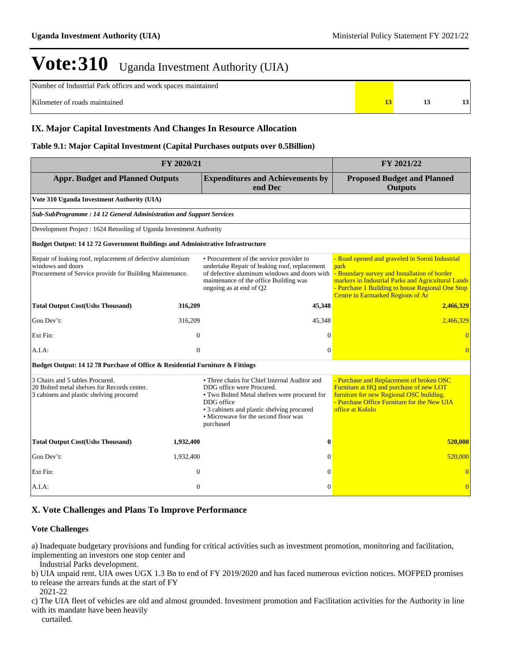Number of Industrial Park offices and work spaces maintained

Kilometer of roads maintained **13 13 13 13 13 13** 

### **IX. Major Capital Investments And Changes In Resource Allocation**

#### **Table 9.1: Major Capital Investment (Capital Purchases outputs over 0.5Billion)**

| FY 2020/21                                                                                                                                  | FY 2021/22                                                          |                                                                                                                                                                                                                                             |                                                                                                                                                                                                                                                               |  |  |  |  |  |  |  |
|---------------------------------------------------------------------------------------------------------------------------------------------|---------------------------------------------------------------------|---------------------------------------------------------------------------------------------------------------------------------------------------------------------------------------------------------------------------------------------|---------------------------------------------------------------------------------------------------------------------------------------------------------------------------------------------------------------------------------------------------------------|--|--|--|--|--|--|--|
| <b>Appr. Budget and Planned Outputs</b>                                                                                                     |                                                                     | <b>Expenditures and Achievements by</b><br>end Dec                                                                                                                                                                                          | <b>Proposed Budget and Planned</b><br><b>Outputs</b>                                                                                                                                                                                                          |  |  |  |  |  |  |  |
| Vote 310 Uganda Investment Authority (UIA)                                                                                                  |                                                                     |                                                                                                                                                                                                                                             |                                                                                                                                                                                                                                                               |  |  |  |  |  |  |  |
|                                                                                                                                             | Sub-SubProgramme: 14 12 General Administration and Support Services |                                                                                                                                                                                                                                             |                                                                                                                                                                                                                                                               |  |  |  |  |  |  |  |
| Development Project : 1624 Retooling of Uganda Investment Authority                                                                         |                                                                     |                                                                                                                                                                                                                                             |                                                                                                                                                                                                                                                               |  |  |  |  |  |  |  |
| <b>Budget Output: 14 12 72 Government Buildings and Administrative Infrastructure</b>                                                       |                                                                     |                                                                                                                                                                                                                                             |                                                                                                                                                                                                                                                               |  |  |  |  |  |  |  |
| Repair of leaking roof, replacement of defective aluminium<br>windows and doors<br>Procurement of Service provide for Building Maintenance. |                                                                     | • Procurement of the service provider to<br>undertake Repair of leaking roof, replacement<br>of defective aluminum windows and doors with<br>maintenance of the office Building was<br>ongoing as at end of Q2                              | - Road opened and graveled in Soroti Industrial<br>park<br>- Boundary survey and Installation of border<br>markers in Industrial Parks and Agricultural Lands<br>- Purchase 1 Building to house Regional One Stop<br><b>Centre in Earmarked Regions of Ar</b> |  |  |  |  |  |  |  |
| <b>Total Output Cost(Ushs Thousand)</b>                                                                                                     | 316,209                                                             | 45,348                                                                                                                                                                                                                                      | 2,466,329                                                                                                                                                                                                                                                     |  |  |  |  |  |  |  |
| Gou Dev't:                                                                                                                                  | 316,209                                                             | 45,348                                                                                                                                                                                                                                      | 2,466,329                                                                                                                                                                                                                                                     |  |  |  |  |  |  |  |
| Ext Fin:                                                                                                                                    | $\overline{0}$                                                      | $\theta$                                                                                                                                                                                                                                    | $\Omega$                                                                                                                                                                                                                                                      |  |  |  |  |  |  |  |
| A.I.A.                                                                                                                                      | $\overline{0}$                                                      | $\theta$                                                                                                                                                                                                                                    | $\Omega$                                                                                                                                                                                                                                                      |  |  |  |  |  |  |  |
| Budget Output: 14 12 78 Purchase of Office & Residential Furniture & Fittings                                                               |                                                                     |                                                                                                                                                                                                                                             |                                                                                                                                                                                                                                                               |  |  |  |  |  |  |  |
| 3 Chairs and 5 tables Procured.<br>20 Bolted metal shelves for Records center.<br>3 cabinets and plastic shelving procured                  |                                                                     | • Three chairs for Chief Internal Auditor and<br>DDG office were Procured.<br>• Two Bolted Metal shelves were procured for<br>DDG office<br>• 3 cabinets and plastic shelving procured<br>• Microwave for the second floor was<br>purchased | - Purchase and Replacement of broken OSC<br>Furniture at HQ and purchase of new LOT<br>furniture for new Regional OSC building.<br>- Purchase Office Furniture for the New UIA<br>office at Kololo                                                            |  |  |  |  |  |  |  |
| <b>Total Output Cost(Ushs Thousand)</b>                                                                                                     | 1,932,400                                                           | 0                                                                                                                                                                                                                                           | 520,000                                                                                                                                                                                                                                                       |  |  |  |  |  |  |  |
| Gou Dev't:                                                                                                                                  | 1,932,400                                                           | $\Omega$                                                                                                                                                                                                                                    | 520,000                                                                                                                                                                                                                                                       |  |  |  |  |  |  |  |
| Ext Fin:                                                                                                                                    | $\theta$                                                            | $\theta$                                                                                                                                                                                                                                    | $\Omega$                                                                                                                                                                                                                                                      |  |  |  |  |  |  |  |
| A.I.A.                                                                                                                                      | $\overline{0}$                                                      | $\theta$                                                                                                                                                                                                                                    | $\overline{0}$                                                                                                                                                                                                                                                |  |  |  |  |  |  |  |

### **X. Vote Challenges and Plans To Improve Performance**

#### **Vote Challenges**

a) Inadequate budgetary provisions and funding for critical activities such as investment promotion, monitoring and facilitation, implementing an investors one stop center and

Industrial Parks development.

b) UIA unpaid rent. UIA owes UGX 1.3 Bn to end of FY 2019/2020 and has faced numerous eviction notices. MOFPED promises to release the arrears funds at the start of FY

2021-22

c) The UIA fleet of vehicles are old and almost grounded. Investment promotion and Facilitation activities for the Authority in line with its mandate have been heavily

curtailed.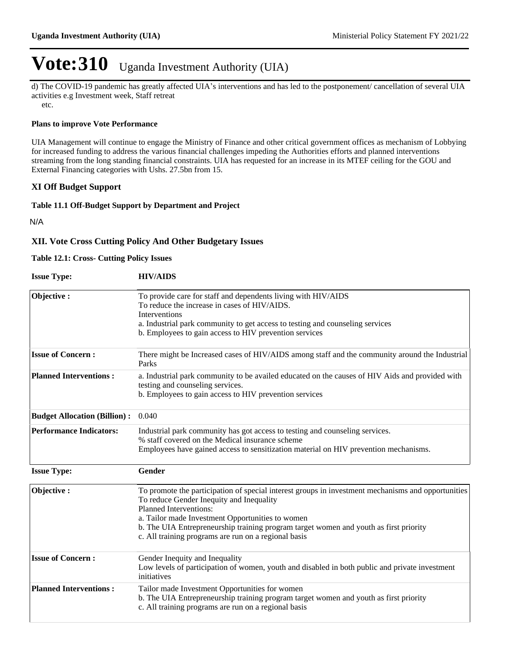d) The COVID-19 pandemic has greatly affected UIA's interventions and has led to the postponement/ cancellation of several UIA activities e.g Investment week, Staff retreat

etc.

### **Plans to improve Vote Performance**

UIA Management will continue to engage the Ministry of Finance and other critical government offices as mechanism of Lobbying for increased funding to address the various financial challenges impeding the Authorities efforts and planned interventions streaming from the long standing financial constraints. UIA has requested for an increase in its MTEF ceiling for the GOU and External Financing categories with Ushs. 27.5bn from 15.

### **XI Off Budget Support**

### **Table 11.1 Off-Budget Support by Department and Project**

N/A

### **XII. Vote Cross Cutting Policy And Other Budgetary Issues**

#### **Table 12.1: Cross- Cutting Policy Issues**

| <b>Issue Type:</b>                  | <b>HIV/AIDS</b>                                                                                                                                                                                                                                                                                                                                                               |
|-------------------------------------|-------------------------------------------------------------------------------------------------------------------------------------------------------------------------------------------------------------------------------------------------------------------------------------------------------------------------------------------------------------------------------|
| Objective:                          | To provide care for staff and dependents living with HIV/AIDS<br>To reduce the increase in cases of HIV/AIDS.<br>Interventions<br>a. Industrial park community to get access to testing and counseling services<br>b. Employees to gain access to HIV prevention services                                                                                                     |
| <b>Issue of Concern:</b>            | There might be Increased cases of HIV/AIDS among staff and the community around the Industrial<br>Parks                                                                                                                                                                                                                                                                       |
| <b>Planned Interventions:</b>       | a. Industrial park community to be availed educated on the causes of HIV Aids and provided with<br>testing and counseling services.<br>b. Employees to gain access to HIV prevention services                                                                                                                                                                                 |
| <b>Budget Allocation (Billion):</b> | 0.040                                                                                                                                                                                                                                                                                                                                                                         |
| <b>Performance Indicators:</b>      | Industrial park community has got access to testing and counseling services.<br>% staff covered on the Medical insurance scheme<br>Employees have gained access to sensitization material on HIV prevention mechanisms.                                                                                                                                                       |
| <b>Issue Type:</b>                  | Gender                                                                                                                                                                                                                                                                                                                                                                        |
| Objective:                          | To promote the participation of special interest groups in investment mechanisms and opportunities<br>To reduce Gender Inequity and Inequality<br>Planned Interventions:<br>a. Tailor made Investment Opportunities to women<br>b. The UIA Entrepreneurship training program target women and youth as first priority<br>c. All training programs are run on a regional basis |
| <b>Issue of Concern:</b>            | Gender Inequity and Inequality<br>Low levels of participation of women, youth and disabled in both public and private investment<br>initiatives                                                                                                                                                                                                                               |
| <b>Planned Interventions:</b>       | Tailor made Investment Opportunities for women<br>b. The UIA Entrepreneurship training program target women and youth as first priority<br>c. All training programs are run on a regional basis                                                                                                                                                                               |